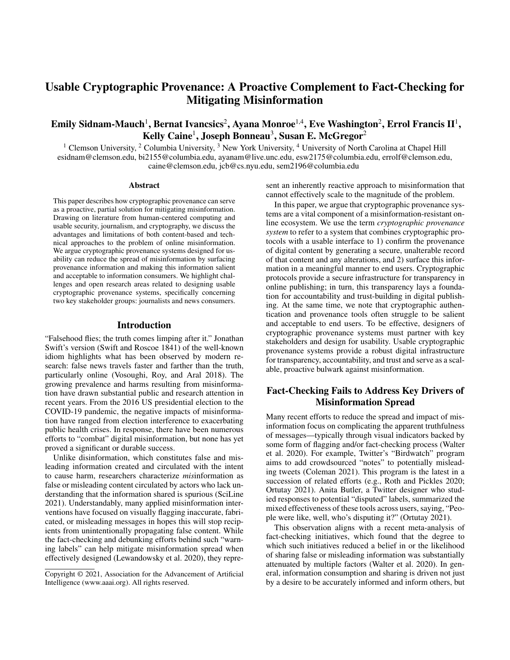# Usable Cryptographic Provenance: A Proactive Complement to Fact-Checking for Mitigating Misinformation

# Emily Sidnam-Mauch $^1$ , Bernat Ivancsics $^2$ , Ayana Monroe $^{1,4}$ , Eve Washington $^2$ , Errol Francis II $^1$ , Kelly Caine<sup>1</sup>, Joseph Bonneau<sup>3</sup>, Susan E. McGregor<sup>2</sup>

<sup>1</sup> Clemson University, <sup>2</sup> Columbia University, <sup>3</sup> New York University, <sup>4</sup> University of North Carolina at Chapel Hill esidnam@clemson.edu, bi2155@columbia.edu, ayanam@live.unc.edu, esw2175@columbia.edu, errolf@clemson.edu, caine@clemson.edu, jcb@cs.nyu.edu, sem2196@columbia.edu

#### Abstract

This paper describes how cryptographic provenance can serve as a proactive, partial solution for mitigating misinformation. Drawing on literature from human-centered computing and usable security, journalism, and cryptography, we discuss the advantages and limitations of both content-based and technical approaches to the problem of online misinformation. We argue cryptographic provenance systems designed for usability can reduce the spread of misinformation by surfacing provenance information and making this information salient and acceptable to information consumers. We highlight challenges and open research areas related to designing usable cryptographic provenance systems, specifically concerning two key stakeholder groups: journalists and news consumers.

#### Introduction

"Falsehood flies; the truth comes limping after it." Jonathan Swift's version (Swift and Roscoe 1841) of the well-known idiom highlights what has been observed by modern research: false news travels faster and farther than the truth, particularly online (Vosoughi, Roy, and Aral 2018). The growing prevalence and harms resulting from misinformation have drawn substantial public and research attention in recent years. From the 2016 US presidential election to the COVID-19 pandemic, the negative impacts of misinformation have ranged from election interference to exacerbating public health crises. In response, there have been numerous efforts to "combat" digital misinformation, but none has yet proved a significant or durable success.

Unlike disinformation, which constitutes false and misleading information created and circulated with the intent to cause harm, researchers characterize *mis*information as false or misleading content circulated by actors who lack understanding that the information shared is spurious (SciLine 2021). Understandably, many applied misinformation interventions have focused on visually flagging inaccurate, fabricated, or misleading messages in hopes this will stop recipients from unintentionally propagating false content. While the fact-checking and debunking efforts behind such "warning labels" can help mitigate misinformation spread when effectively designed (Lewandowsky et al. 2020), they represent an inherently reactive approach to misinformation that cannot effectively scale to the magnitude of the problem.

In this paper, we argue that cryptographic provenance systems are a vital component of a misinformation-resistant online ecosystem. We use the term *cryptographic provenance system* to refer to a system that combines cryptographic protocols with a usable interface to 1) confirm the provenance of digital content by generating a secure, unalterable record of that content and any alterations, and 2) surface this information in a meaningful manner to end users. Cryptographic protocols provide a secure infrastructure for transparency in online publishing; in turn, this transparency lays a foundation for accountability and trust-building in digital publishing. At the same time, we note that cryptographic authentication and provenance tools often struggle to be salient and acceptable to end users. To be effective, designers of cryptographic provenance systems must partner with key stakeholders and design for usability. Usable cryptographic provenance systems provide a robust digital infrastructure for transparency, accountability, and trust and serve as a scalable, proactive bulwark against misinformation.

## Fact-Checking Fails to Address Key Drivers of Misinformation Spread

Many recent efforts to reduce the spread and impact of misinformation focus on complicating the apparent truthfulness of messages—typically through visual indicators backed by some form of flagging and/or fact-checking process (Walter et al. 2020). For example, Twitter's "Birdwatch" program aims to add crowdsourced "notes" to potentially misleading tweets (Coleman 2021). This program is the latest in a succession of related efforts (e.g., Roth and Pickles 2020; Ortutay 2021). Anita Butler, a Twitter designer who studied responses to potential "disputed" labels, summarized the mixed effectiveness of these tools across users, saying, "People were like, well, who's disputing it?" (Ortutay 2021).

This observation aligns with a recent meta-analysis of fact-checking initiatives, which found that the degree to which such initiatives reduced a belief in or the likelihood of sharing false or misleading information was substantially attenuated by multiple factors (Walter et al. 2020). In general, information consumption and sharing is driven not just by a desire to be accurately informed and inform others, but

Copyright © 2021, Association for the Advancement of Artificial Intelligence (www.aaai.org). All rights reserved.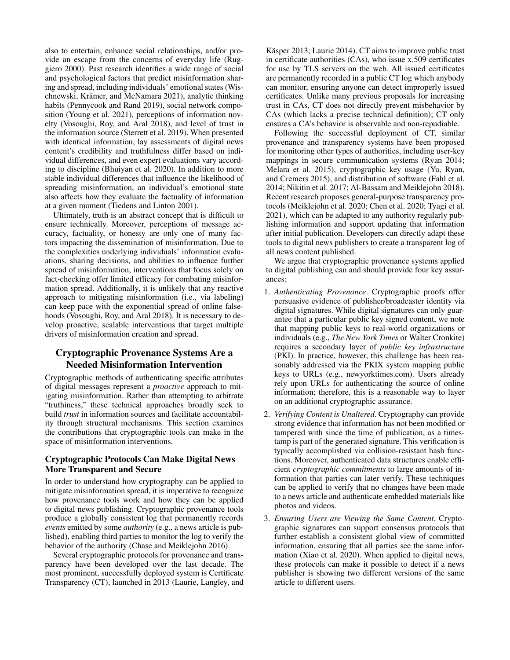also to entertain, enhance social relationships, and/or provide an escape from the concerns of everyday life (Ruggiero 2000). Past research identifies a wide range of social and psychological factors that predict misinformation sharing and spread, including individuals' emotional states (Wischnewski, Krämer, and McNamara 2021), analytic thinking habits (Pennycook and Rand 2019), social network composition (Young et al. 2021), perceptions of information novelty (Vosoughi, Roy, and Aral 2018), and level of trust in the information source (Sterrett et al. 2019). When presented with identical information, lay assessments of digital news content's credibility and truthfulness differ based on individual differences, and even expert evaluations vary according to discipline (Bhuiyan et al. 2020). In addition to more stable individual differences that influence the likelihood of spreading misinformation, an individual's emotional state also affects how they evaluate the factuality of information at a given moment (Tiedens and Linton 2001).

Ultimately, truth is an abstract concept that is difficult to ensure technically. Moreover, perceptions of message accuracy, factuality, or honesty are only one of many factors impacting the dissemination of misinformation. Due to the complexities underlying individuals' information evaluations, sharing decisions, and abilities to influence further spread of misinformation, interventions that focus solely on fact-checking offer limited efficacy for combating misinformation spread. Additionally, it is unlikely that any reactive approach to mitigating misinformation (i.e., via labeling) can keep pace with the exponential spread of online falsehoods (Vosoughi, Roy, and Aral 2018). It is necessary to develop proactive, scalable interventions that target multiple drivers of misinformation creation and spread.

## Cryptographic Provenance Systems Are a Needed Misinformation Intervention

Cryptographic methods of authenticating specific attributes of digital messages represent a *proactive* approach to mitigating misinformation. Rather than attempting to arbitrate "truthiness," these technical approaches broadly seek to build *trust* in information sources and facilitate accountability through structural mechanisms. This section examines the contributions that cryptographic tools can make in the space of misinformation interventions.

### Cryptographic Protocols Can Make Digital News More Transparent and Secure

In order to understand how cryptography can be applied to mitigate misinformation spread, it is imperative to recognize how provenance tools work and how they can be applied to digital news publishing. Cryptographic provenance tools produce a globally consistent log that permanently records *events* emitted by some *authority* (e.g., a news article is published), enabling third parties to monitor the log to verify the behavior of the authority (Chase and Meiklejohn 2016).

Several cryptographic protocols for provenance and transparency have been developed over the last decade. The most prominent, successfully deployed system is Certificate Transparency (CT), launched in 2013 (Laurie, Langley, and

Käsper 2013; Laurie 2014). CT aims to improve public trust in certificate authorities (CAs), who issue x.509 certificates for use by TLS servers on the web. All issued certificates are permanently recorded in a public CT log which anybody can monitor, ensuring anyone can detect improperly issued certificates. Unlike many previous proposals for increasing trust in CAs, CT does not directly prevent misbehavior by CAs (which lacks a precise technical definition); CT only ensures a CA's behavior is observable and non-repudiable.

Following the successful deployment of CT, similar provenance and transparency systems have been proposed for monitoring other types of authorities, including user-key mappings in secure communication systems (Ryan 2014; Melara et al. 2015), cryptographic key usage (Yu, Ryan, and Cremers 2015), and distribution of software (Fahl et al. 2014; Nikitin et al. 2017; Al-Bassam and Meiklejohn 2018). Recent research proposes general-purpose transparency protocols (Meiklejohn et al. 2020; Chen et al. 2020; Tyagi et al. 2021), which can be adapted to any authority regularly publishing information and support updating that information after initial publication. Developers can directly adapt these tools to digital news publishers to create a transparent log of all news content published.

We argue that cryptographic provenance systems applied to digital publishing can and should provide four key assurances:

- 1. *Authenticating Provenance*. Cryptographic proofs offer persuasive evidence of publisher/broadcaster identity via digital signatures. While digital signatures can only guarantee that a particular public key signed content, we note that mapping public keys to real-world organizations or individuals (e.g., *The New York Times* or Walter Cronkite) requires a secondary layer of *public key infrastructure* (PKI). In practice, however, this challenge has been reasonably addressed via the PKIX system mapping public keys to URLs (e.g., newyorktimes.com). Users already rely upon URLs for authenticating the source of online information; therefore, this is a reasonable way to layer on an additional cryptographic assurance.
- 2. *Verifying Content is Unaltered*. Cryptography can provide strong evidence that information has not been modified or tampered with since the time of publication, as a timestamp is part of the generated signature. This verification is typically accomplished via collision-resistant hash functions. Moreover, authenticated data structures enable efficient *cryptographic commitments* to large amounts of information that parties can later verify. These techniques can be applied to verify that no changes have been made to a news article and authenticate embedded materials like photos and videos.
- 3. *Ensuring Users are Viewing the Same Content*. Cryptographic signatures can support consensus protocols that further establish a consistent global view of committed information, ensuring that all parties see the same information (Xiao et al. 2020). When applied to digital news, these protocols can make it possible to detect if a news publisher is showing two different versions of the same article to different users.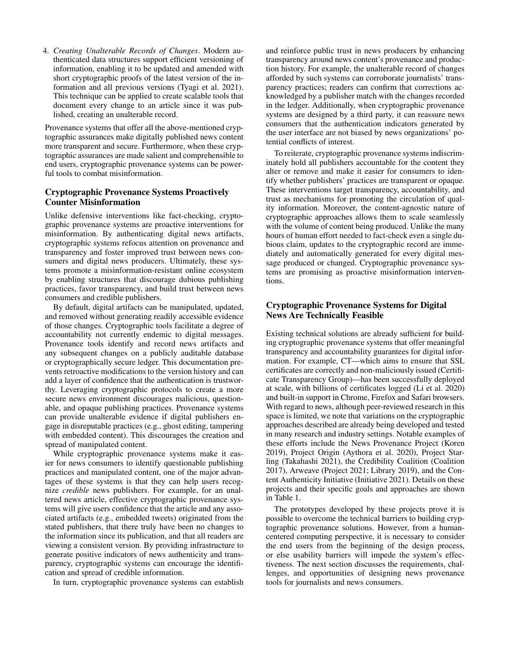4. *Creating Unalterable Records of Changes*. Modern authenticated data structures support efficient versioning of information, enabling it to be updated and amended with short cryptographic proofs of the latest version of the information and all previous versions (Tyagi et al. 2021). This technique can be applied to create scalable tools that document every change to an article since it was published, creating an unalterable record.

Provenance systems that offer all the above-mentioned cryptographic assurances make digitally published news content more transparent and secure. Furthermore, when these cryptographic assurances are made salient and comprehensible to end users, cryptographic provenance systems can be powerful tools to combat misinformation.

## Cryptographic Provenance Systems Proactively Counter Misinformation

Unlike defensive interventions like fact-checking, cryptographic provenance systems are proactive interventions for misinformation. By authenticating digital news artifacts, cryptographic systems refocus attention on provenance and transparency and foster improved trust between news consumers and digital news producers. Ultimately, these systems promote a misinformation-resistant online ecosystem by enabling structures that discourage dubious publishing practices, favor transparency, and build trust between news consumers and credible publishers.

By default, digital artifacts can be manipulated, updated, and removed without generating readily accessible evidence of those changes. Cryptographic tools facilitate a degree of accountability not currently endemic to digital messages. Provenance tools identify and record news artifacts and any subsequent changes on a publicly auditable database or cryptographically secure ledger. This documentation prevents retroactive modifications to the version history and can add a layer of confidence that the authentication is trustworthy. Leveraging cryptographic protocols to create a more secure news environment discourages malicious, questionable, and opaque publishing practices. Provenance systems can provide unalterable evidence if digital publishers engage in disreputable practices (e.g., ghost editing, tampering with embedded content). This discourages the creation and spread of manipulated content.

While cryptographic provenance systems make it easier for news consumers to identify questionable publishing practices and manipulated content, one of the major advantages of these systems is that they can help users recognize *credible* news publishers. For example, for an unaltered news article, effective cryptographic provenance systems will give users confidence that the article and any associated artifacts (e.g., embedded tweets) originated from the stated publishers, that there truly have been no changes to the information since its publication, and that all readers are viewing a consistent version. By providing infrastructure to generate positive indicators of news authenticity and transparency, cryptographic systems can encourage the identification and spread of credible information.

In turn, cryptographic provenance systems can establish

and reinforce public trust in news producers by enhancing transparency around news content's provenance and production history. For example, the unalterable record of changes afforded by such systems can corroborate journalists' transparency practices; readers can confirm that corrections acknowledged by a publisher match with the changes recorded in the ledger. Additionally, when cryptographic provenance systems are designed by a third party, it can reassure news consumers that the authentication indicators generated by the user interface are not biased by news organizations' potential conflicts of interest.

To reiterate, cryptographic provenance systems indiscriminately hold all publishers accountable for the content they alter or remove and make it easier for consumers to identify whether publishers' practices are transparent or opaque. These interventions target transparency, accountability, and trust as mechanisms for promoting the circulation of quality information. Moreover, the content-agnostic nature of cryptographic approaches allows them to scale seamlessly with the volume of content being produced. Unlike the many hours of human effort needed to fact-check even a single dubious claim, updates to the cryptographic record are immediately and automatically generated for every digital message produced or changed. Cryptographic provenance systems are promising as proactive misinformation interventions.

## Cryptographic Provenance Systems for Digital News Are Technically Feasible

Existing technical solutions are already sufficient for building cryptographic provenance systems that offer meaningful transparency and accountability guarantees for digital information. For example, CT—which aims to ensure that SSL certificates are correctly and non-maliciously issued (Certificate Transparency Group)—has been successfully deployed at scale, with billions of certificates logged (Li et al. 2020) and built-in support in Chrome, Firefox and Safari browsers. With regard to news, although peer-reviewed research in this space is limited, we note that variations on the cryptographic approaches described are already being developed and tested in many research and industry settings. Notable examples of these efforts include the News Provenance Project (Koren 2019), Project Origin (Aythora et al. 2020), Project Starling (Takahashi 2021), the Credibility Coalition (Coalition 2017), Arweave (Project 2021; Library 2019), and the Content Authenticity Initiative (Initiative 2021). Details on these projects and their specific goals and approaches are shown in Table 1.

The prototypes developed by these projects prove it is possible to overcome the technical barriers to building cryptographic provenance solutions. However, from a humancentered computing perspective, it is necessary to consider the end users from the beginning of the design process, or else usability barriers will impede the system's effectiveness. The next section discusses the requirements, challenges, and opportunities of designing news provenance tools for journalists and news consumers.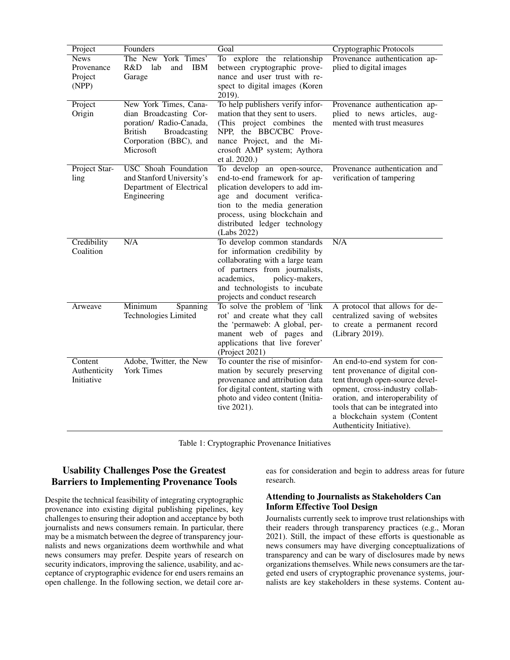| Project                                       | Founders                                                                                                                                            | Goal                                                                                                                                                                                                                                         | Cryptographic Protocols                                                                                                                                                                                                                                                     |
|-----------------------------------------------|-----------------------------------------------------------------------------------------------------------------------------------------------------|----------------------------------------------------------------------------------------------------------------------------------------------------------------------------------------------------------------------------------------------|-----------------------------------------------------------------------------------------------------------------------------------------------------------------------------------------------------------------------------------------------------------------------------|
| <b>News</b><br>Provenance<br>Project<br>(NPP) | The New York Times'<br>R&D<br>lab<br>and<br><b>IBM</b><br>Garage                                                                                    | To explore the relationship<br>between cryptographic prove-<br>nance and user trust with re-<br>spect to digital images (Koren<br>2019).                                                                                                     | Provenance authentication ap-<br>plied to digital images                                                                                                                                                                                                                    |
| Project<br>Origin                             | New York Times, Cana-<br>dian Broadcasting Cor-<br>poration/ Radio-Canada,<br><b>British</b><br>Broadcasting<br>Corporation (BBC), and<br>Microsoft | To help publishers verify infor-<br>mation that they sent to users.<br>(This project combines the<br>NPP, the BBC/CBC Prove-<br>nance Project, and the Mi-<br>crosoft AMP system; Aythora<br>et al. 2020.)                                   | Provenance authentication ap-<br>plied to news articles, aug-<br>mented with trust measures                                                                                                                                                                                 |
| Project Star-<br>ling                         | <b>USC</b> Shoah Foundation<br>and Stanford University's<br>Department of Electrical<br>Engineering                                                 | To develop an open-source,<br>end-to-end framework for ap-<br>plication developers to add im-<br>age and document verifica-<br>tion to the media generation<br>process, using blockchain and<br>distributed ledger technology<br>(Labs 2022) | Provenance authentication and<br>verification of tampering                                                                                                                                                                                                                  |
| Credibility<br>Coalition                      | N/A                                                                                                                                                 | To develop common standards<br>for information credibility by<br>collaborating with a large team<br>of partners from journalists,<br>policy-makers,<br>academics,<br>and technologists to incubate<br>projects and conduct research          | N/A                                                                                                                                                                                                                                                                         |
| Arweave                                       | Minimum<br>Spanning<br>Technologies Limited                                                                                                         | To solve the problem of 'link<br>rot' and create what they call<br>the 'permaweb: A global, per-<br>manent web of pages and<br>applications that live forever'<br>(Project 2021)                                                             | A protocol that allows for de-<br>centralized saving of websites<br>to create a permanent record<br>(Library 2019).                                                                                                                                                         |
| Content<br>Authenticity<br>Initiative         | Adobe, Twitter, the New<br><b>York Times</b>                                                                                                        | To counter the rise of misinfor-<br>mation by securely preserving<br>provenance and attribution data<br>for digital content, starting with<br>photo and video content (Initia-<br>tive 2021).                                                | An end-to-end system for con-<br>tent provenance of digital con-<br>tent through open-source devel-<br>opment, cross-industry collab-<br>oration, and interoperability of<br>tools that can be integrated into<br>a blockchain system (Content<br>Authenticity Initiative). |

Table 1: Cryptographic Provenance Initiatives

# Usability Challenges Pose the Greatest Barriers to Implementing Provenance Tools

Despite the technical feasibility of integrating cryptographic provenance into existing digital publishing pipelines, key challenges to ensuring their adoption and acceptance by both journalists and news consumers remain. In particular, there may be a mismatch between the degree of transparency journalists and news organizations deem worthwhile and what news consumers may prefer. Despite years of research on security indicators, improving the salience, usability, and acceptance of cryptographic evidence for end users remains an open challenge. In the following section, we detail core areas for consideration and begin to address areas for future research.

## Attending to Journalists as Stakeholders Can Inform Effective Tool Design

Journalists currently seek to improve trust relationships with their readers through transparency practices (e.g., Moran 2021). Still, the impact of these efforts is questionable as news consumers may have diverging conceptualizations of transparency and can be wary of disclosures made by news organizations themselves. While news consumers are the targeted end users of cryptographic provenance systems, journalists are key stakeholders in these systems. Content au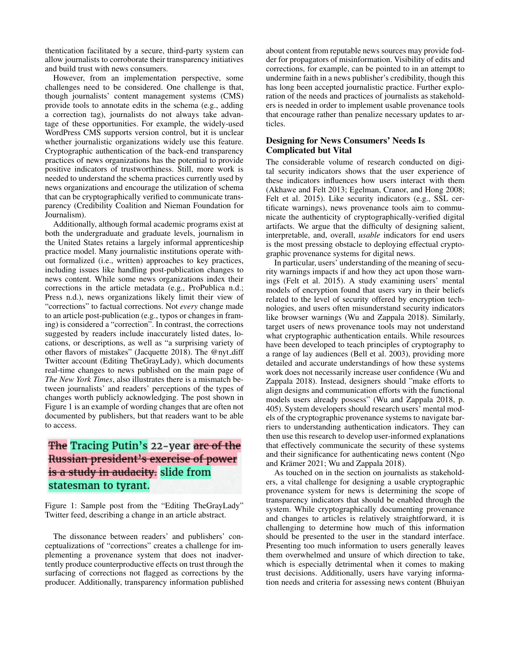thentication facilitated by a secure, third-party system can allow journalists to corroborate their transparency initiatives and build trust with news consumers.

However, from an implementation perspective, some challenges need to be considered. One challenge is that, though journalists' content management systems (CMS) provide tools to annotate edits in the schema (e.g., adding a correction tag), journalists do not always take advantage of these opportunities. For example, the widely-used WordPress CMS supports version control, but it is unclear whether journalistic organizations widely use this feature. Cryptographic authentication of the back-end transparency practices of news organizations has the potential to provide positive indicators of trustworthiness. Still, more work is needed to understand the schema practices currently used by news organizations and encourage the utilization of schema that can be cryptographically verified to communicate transparency (Credibility Coalition and Nieman Foundation for Journalism).

Additionally, although formal academic programs exist at both the undergraduate and graduate levels, journalism in the United States retains a largely informal apprenticeship practice model. Many journalistic institutions operate without formalized (i.e., written) approaches to key practices, including issues like handling post-publication changes to news content. While some news organizations index their corrections in the article metadata (e.g., ProPublica n.d.; Press n.d.), news organizations likely limit their view of "corrections" to factual corrections. Not *every* change made to an article post-publication (e.g., typos or changes in framing) is considered a "correction". In contrast, the corrections suggested by readers include inaccurately listed dates, locations, or descriptions, as well as "a surprising variety of other flavors of mistakes" (Jacquette 2018). The @nyt\_diff Twitter account (Editing TheGrayLady), which documents real-time changes to news published on the main page of *The New York Times*, also illustrates there is a mismatch between journalists' and readers' perceptions of the types of changes worth publicly acknowledging. The post shown in Figure 1 is an example of wording changes that are often not documented by publishers, but that readers want to be able to access.

# The Tracing Putin's 22-year are of the Russian president's exercise of power is a study in audacity. slide from statesman to tyrant.

Figure 1: Sample post from the "Editing TheGrayLady" Twitter feed, describing a change in an article abstract.

The dissonance between readers' and publishers' conceptualizations of "corrections" creates a challenge for implementing a provenance system that does not inadvertently produce counterproductive effects on trust through the surfacing of corrections not flagged as corrections by the producer. Additionally, transparency information published

about content from reputable news sources may provide fodder for propagators of misinformation. Visibility of edits and corrections, for example, can be pointed to in an attempt to undermine faith in a news publisher's credibility, though this has long been accepted journalistic practice. Further exploration of the needs and practices of journalists as stakeholders is needed in order to implement usable provenance tools that encourage rather than penalize necessary updates to articles.

## Designing for News Consumers' Needs Is Complicated but Vital

The considerable volume of research conducted on digital security indicators shows that the user experience of these indicators influences how users interact with them (Akhawe and Felt 2013; Egelman, Cranor, and Hong 2008; Felt et al. 2015). Like security indicators (e.g., SSL certificate warnings), news provenance tools aim to communicate the authenticity of cryptographically-verified digital artifacts. We argue that the difficulty of designing salient, interpretable, and, overall, *usable* indicators for end users is the most pressing obstacle to deploying effectual cryptographic provenance systems for digital news.

In particular, users' understanding of the meaning of security warnings impacts if and how they act upon those warnings (Felt et al. 2015). A study examining users' mental models of encryption found that users vary in their beliefs related to the level of security offered by encryption technologies, and users often misunderstand security indicators like browser warnings (Wu and Zappala 2018). Similarly, target users of news provenance tools may not understand what cryptographic authentication entails. While resources have been developed to teach principles of cryptography to a range of lay audiences (Bell et al. 2003), providing more detailed and accurate understandings of how these systems work does not necessarily increase user confidence (Wu and Zappala 2018). Instead, designers should "make efforts to align designs and communication efforts with the functional models users already possess" (Wu and Zappala 2018, p. 405). System developers should research users' mental models of the cryptographic provenance systems to navigate barriers to understanding authentication indicators. They can then use this research to develop user-informed explanations that effectively communicate the security of these systems and their significance for authenticating news content (Ngo and Krämer 2021; Wu and Zappala 2018).

As touched on in the section on journalists as stakeholders, a vital challenge for designing a usable cryptographic provenance system for news is determining the scope of transparency indicators that should be enabled through the system. While cryptographically documenting provenance and changes to articles is relatively straightforward, it is challenging to determine how much of this information should be presented to the user in the standard interface. Presenting too much information to users generally leaves them overwhelmed and unsure of which direction to take, which is especially detrimental when it comes to making trust decisions. Additionally, users have varying information needs and criteria for assessing news content (Bhuiyan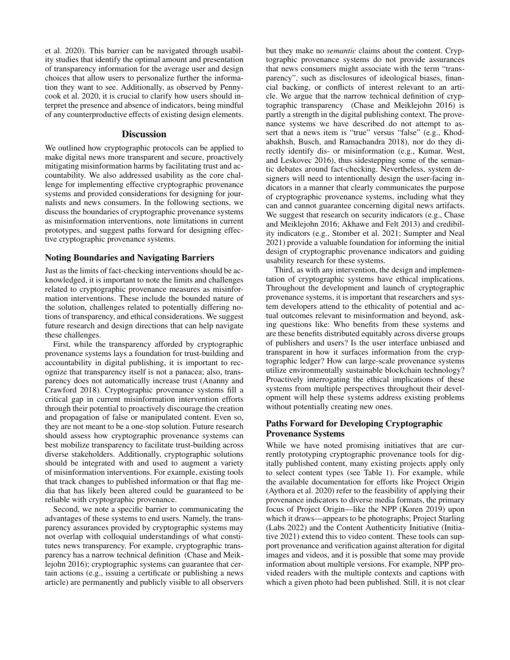et al. 2020). This barrier can be navigated through usability studies that identify the optimal amount and presentation of transparency information for the average user and design choices that allow users to personalize further the information they want to see. Additionally, as observed by Pennycook et al. 2020, it is crucial to clarify how users should interpret the presence and absence of indicators, being mindful of any counterproductive effects of existing design elements.

#### **Discussion**

We outlined how cryptographic protocols can be applied to make digital news more transparent and secure, proactively mitigating misinformation harms by facilitating trust and accountability. We also addressed usability as the core challenge for implementing effective cryptographic provenance systems and provided considerations for designing for journalists and news consumers. In the following sections, we discuss the boundaries of cryptographic provenance systems as misinformation interventions, note limitations in current prototypes, and suggest paths forward for designing effective cryptographic provenance systems.

#### Noting Boundaries and Navigating Barriers

Just as the limits of fact-checking interventions should be acknowledged, it is important to note the limits and challenges related to cryptographic provenance measures as misinformation interventions. These include the bounded nature of the solution, challenges related to potentially differing notions of transparency, and ethical considerations. We suggest future research and design directions that can help navigate these challenges.

First, while the transparency afforded by cryptographic provenance systems lays a foundation for trust-building and accountability in digital publishing, it is important to recognize that transparency itself is not a panacea; also, transparency does not automatically increase trust (Ananny and Crawford 2018). Cryptographic provenance systems fill a critical gap in current misinformation intervention efforts through their potential to proactively discourage the creation and propagation of false or manipulated content. Even so, they are not meant to be a one-stop solution. Future research should assess how cryptographic provenance systems can best mobilize transparency to facilitate trust-building across diverse stakeholders. Additionally, cryptographic solutions should be integrated with and used to augment a variety of misinformation interventions. For example, existing tools that track changes to published information or that flag media that has likely been altered could be guaranteed to be reliable with cryptographic provenance.

Second, we note a specific barrier to communicating the advantages of these systems to end users. Namely, the transparency assurances provided by cryptographic systems may not overlap with colloquial understandings of what constitutes news transparency. For example, cryptographic transparency has a narrow technical definition (Chase and Meiklejohn 2016); cryptographic systems can guarantee that certain actions (e.g., issuing a certificate or publishing a news article) are permanently and publicly visible to all observers

but they make no *semantic* claims about the content. Cryptographic provenance systems do not provide assurances that news consumers might associate with the term "transparency", such as disclosures of ideological biases, financial backing, or conflicts of interest relevant to an article. We argue that the narrow technical definition of cryptographic transparency (Chase and Meiklejohn 2016) is partly a strength in the digital publishing context. The provenance systems we have described do not attempt to assert that a news item is "true" versus "false" (e.g., Khodabakhsh, Busch, and Ramachandra 2018), nor do they directly identify dis- or misinformation (e.g., Kumar, West, and Leskovec 2016), thus sidestepping some of the semantic debates around fact-checking. Nevertheless, system designers will need to intentionally design the user-facing indicators in a manner that clearly communicates the purpose of cryptographic provenance systems, including what they can and cannot guarantee concerning digital news artifacts. We suggest that research on security indicators (e.g., Chase and Meiklejohn 2016; Akhawe and Felt 2013) and credibility indicators (e.g., Stomber et al. 2021; Sumpter and Neal 2021) provide a valuable foundation for informing the initial design of cryptographic provenance indicators and guiding usability research for these systems.

Third, as with any intervention, the design and implementation of cryptographic systems have ethical implications. Throughout the development and launch of cryptographic provenance systems, it is important that researchers and system developers attend to the ethicality of potential and actual outcomes relevant to misinformation and beyond, asking questions like: Who benefits from these systems and are these benefits distributed equitably across diverse groups of publishers and users? Is the user interface unbiased and transparent in how it surfaces information from the cryptographic ledger? How can large-scale provenance systems utilize environmentally sustainable blockchain technology? Proactively interrogating the ethical implications of these systems from multiple perspectives throughout their development will help these systems address existing problems without potentially creating new ones.

#### Paths Forward for Developing Cryptographic Provenance Systems

While we have noted promising initiatives that are currently prototyping cryptographic provenance tools for digitally published content, many existing projects apply only to select content types (see Table 1). For example, while the available documentation for efforts like Project Origin (Aythora et al. 2020) refer to the feasibility of applying their provenance indicators to diverse media formats, the primary focus of Project Origin—like the NPP (Koren 2019) upon which it draws—appears to be photographs; Project Starling (Labs 2022) and the Content Authenticity Initiative (Initiative 2021) extend this to video content. These tools can support provenance and verification against alteration for digital images and videos, and it is possible that some may provide information about multiple versions. For example, NPP provided readers with the multiple contexts and captions with which a given photo had been published. Still, it is not clear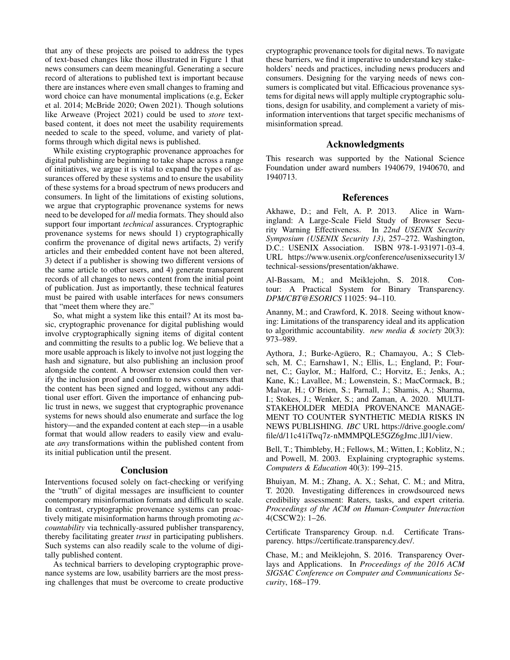that any of these projects are poised to address the types of text-based changes like those illustrated in Figure 1 that news consumers can deem meaningful. Generating a secure record of alterations to published text is important because there are instances where even small changes to framing and word choice can have monumental implications (e.g, Ecker et al. 2014; McBride 2020; Owen 2021). Though solutions like Arweave (Project 2021) could be used to *store* textbased content, it does not meet the usability requirements needed to scale to the speed, volume, and variety of platforms through which digital news is published.

While existing cryptographic provenance approaches for digital publishing are beginning to take shape across a range of initiatives, we argue it is vital to expand the types of assurances offered by these systems and to ensure the usability of these systems for a broad spectrum of news producers and consumers. In light of the limitations of existing solutions, we argue that cryptographic provenance systems for news need to be developed for *all* media formats. They should also support four important *technical* assurances. Cryptographic provenance systems for news should 1) cryptographically confirm the provenance of digital news artifacts, 2) verify articles and their embedded content have not been altered, 3) detect if a publisher is showing two different versions of the same article to other users, and 4) generate transparent records of all changes to news content from the initial point of publication. Just as importantly, these technical features must be paired with usable interfaces for news consumers that "meet them where they are."

So, what might a system like this entail? At its most basic, cryptographic provenance for digital publishing would involve cryptographically signing items of digital content and committing the results to a public log. We believe that a more usable approach is likely to involve not just logging the hash and signature, but also publishing an inclusion proof alongside the content. A browser extension could then verify the inclusion proof and confirm to news consumers that the content has been signed and logged, without any additional user effort. Given the importance of enhancing public trust in news, we suggest that cryptographic provenance systems for news should also enumerate and surface the log history—and the expanded content at each step—in a usable format that would allow readers to easily view and evaluate *any* transformations within the published content from its initial publication until the present.

#### Conclusion

Interventions focused solely on fact-checking or verifying the "truth" of digital messages are insufficient to counter contemporary misinformation formats and difficult to scale. In contrast, cryptographic provenance systems can proactively mitigate misinformation harms through promoting *accountability* via technically-assured publisher transparency, thereby facilitating greater *trust* in participating publishers. Such systems can also readily scale to the volume of digitally published content.

As technical barriers to developing cryptographic provenance systems are low, usability barriers are the most pressing challenges that must be overcome to create productive cryptographic provenance tools for digital news. To navigate these barriers, we find it imperative to understand key stakeholders' needs and practices, including news producers and consumers. Designing for the varying needs of news consumers is complicated but vital. Efficacious provenance systems for digital news will apply multiple cryptographic solutions, design for usability, and complement a variety of misinformation interventions that target specific mechanisms of misinformation spread.

#### Acknowledgments

This research was supported by the National Science Foundation under award numbers 1940679, 1940670, and 1940713.

#### References

Akhawe, D.; and Felt, A. P. 2013. Alice in Warningland: A Large-Scale Field Study of Browser Security Warning Effectiveness. In *22nd USENIX Security Symposium (USENIX Security 13)*, 257–272. Washington, D.C.: USENIX Association. ISBN 978-1-931971-03-4. URL https://www.usenix.org/conference/usenixsecurity13/ technical-sessions/presentation/akhawe.

Al-Bassam, M.; and Meiklejohn, S. 2018. Contour: A Practical System for Binary Transparency. *DPM/CBT@ESORICS* 11025: 94–110.

Ananny, M.; and Crawford, K. 2018. Seeing without knowing: Limitations of the transparency ideal and its application to algorithmic accountability. *new media & society* 20(3): 973–989.

Aythora, J.; Burke-Agüero, R.; Chamayou, A.; S Clebsch, M. C.; Earnshaw1, N.; Ellis, L.; England, P.; Fournet, C.; Gaylor, M.; Halford, C.; Horvitz, E.; Jenks, A.; Kane, K.; Lavallee, M.; Lowenstein, S.; MacCormack, B.; Malvar, H.; O'Brien, S.; Parnall, J.; Shamis, A.; Sharma, I.; Stokes, J.; Wenker, S.; and Zaman, A. 2020. MULTI-STAKEHOLDER MEDIA PROVENANCE MANAGE-MENT TO COUNTER SYNTHETIC MEDIA RISKS IN NEWS PUBLISHING. *IBC* URL https://drive.google.com/ file/d/11c41iTwq7z-nMMMPQLE5GZ6gJmc llJ1/view.

Bell, T.; Thimbleby, H.; Fellows, M.; Witten, I.; Koblitz, N.; and Powell, M. 2003. Explaining cryptographic systems. *Computers & Education* 40(3): 199–215.

Bhuiyan, M. M.; Zhang, A. X.; Sehat, C. M.; and Mitra, T. 2020. Investigating differences in crowdsourced news credibility assessment: Raters, tasks, and expert criteria. *Proceedings of the ACM on Human-Computer Interaction* 4(CSCW2): 1–26.

Certificate Transparency Group. n.d. Certificate Transparency. https://certificate.transparency.dev/.

Chase, M.; and Meiklejohn, S. 2016. Transparency Overlays and Applications. In *Proceedings of the 2016 ACM SIGSAC Conference on Computer and Communications Security*, 168–179.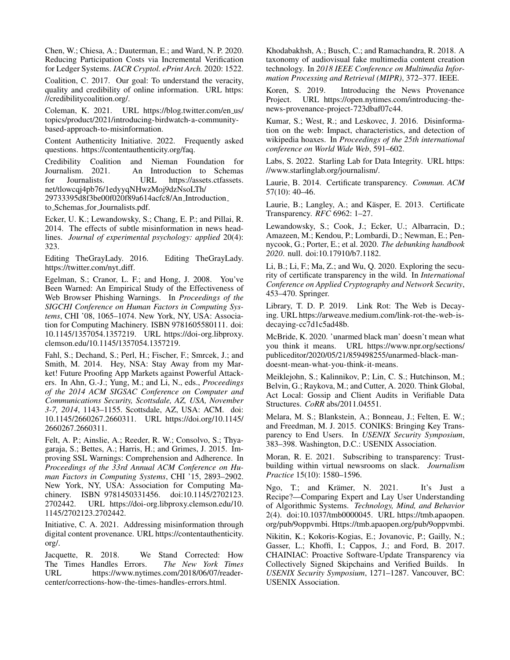Chen, W.; Chiesa, A.; Dauterman, E.; and Ward, N. P. 2020. Reducing Participation Costs via Incremental Verification for Ledger Systems. *IACR Cryptol. ePrint Arch.* 2020: 1522.

Coalition, C. 2017. Our goal: To understand the veracity, quality and credibility of online information. URL https: //credibilitycoalition.org/.

Coleman, K. 2021. URL https://blog.twitter.com/en us/ topics/product/2021/introducing-birdwatch-a-communitybased-approach-to-misinformation.

Content Authenticity Initiative. 2022. Frequently asked questions. https://contentauthenticity.org/faq.

Credibility Coalition and Nieman Foundation for An Introduction to Schemas for Journalists. URL https://assets.ctfassets. net/tlowcqj4pb76/1edyyqNHwzMoj9dzNsoLTh/

29733395d8f3be00f020f89a614acfc8/An Introduction to Schemas for Journalists.pdf.

Ecker, U. K.; Lewandowsky, S.; Chang, E. P.; and Pillai, R. 2014. The effects of subtle misinformation in news headlines. *Journal of experimental psychology: applied* 20(4): 323.

Editing TheGrayLady. 2016. Editing TheGrayLady. https://twitter.com/nyt diff.

Egelman, S.; Cranor, L. F.; and Hong, J. 2008. You've Been Warned: An Empirical Study of the Effectiveness of Web Browser Phishing Warnings. In *Proceedings of the SIGCHI Conference on Human Factors in Computing Systems*, CHI '08, 1065–1074. New York, NY, USA: Association for Computing Machinery. ISBN 9781605580111. doi: 10.1145/1357054.1357219. URL https://doi-org.libproxy. clemson.edu/10.1145/1357054.1357219.

Fahl, S.; Dechand, S.; Perl, H.; Fischer, F.; Smrcek, J.; and Smith, M. 2014. Hey, NSA: Stay Away from my Market! Future Proofing App Markets against Powerful Attackers. In Ahn, G.-J.; Yung, M.; and Li, N., eds., *Proceedings of the 2014 ACM SIGSAC Conference on Computer and Communications Security, Scottsdale, AZ, USA, November 3-7, 2014*, 1143–1155. Scottsdale, AZ, USA: ACM. doi: 10.1145/2660267.2660311. URL https://doi.org/10.1145/ 2660267.2660311.

Felt, A. P.; Ainslie, A.; Reeder, R. W.; Consolvo, S.; Thyagaraja, S.; Bettes, A.; Harris, H.; and Grimes, J. 2015. Improving SSL Warnings: Comprehension and Adherence. In *Proceedings of the 33rd Annual ACM Conference on Human Factors in Computing Systems*, CHI '15, 2893–2902. New York, NY, USA: Association for Computing Machinery. ISBN 9781450331456. doi:10.1145/2702123. 2702442. URL https://doi-org.libproxy.clemson.edu/10. 1145/2702123.2702442.

Initiative, C. A. 2021. Addressing misinformation through digital content provenance. URL https://contentauthenticity. org/.

Jacquette, R. 2018. We Stand Corrected: How The Times Handles Errors. The New York Times The Times Handles Errors. URL https://www.nytimes.com/2018/06/07/readercenter/corrections-how-the-times-handles-errors.html.

Khodabakhsh, A.; Busch, C.; and Ramachandra, R. 2018. A taxonomy of audiovisual fake multimedia content creation technology. In *2018 IEEE Conference on Multimedia Information Processing and Retrieval (MIPR)*, 372–377. IEEE.

Koren, S. 2019. Introducing the News Provenance Project. URL https://open.nytimes.com/introducing-thenews-provenance-project-723dbaf07c44.

Kumar, S.; West, R.; and Leskovec, J. 2016. Disinformation on the web: Impact, characteristics, and detection of wikipedia hoaxes. In *Proceedings of the 25th international conference on World Wide Web*, 591–602.

Labs, S. 2022. Starling Lab for Data Integrity. URL https: //www.starlinglab.org/journalism/.

Laurie, B. 2014. Certificate transparency. *Commun. ACM* 57(10): 40–46.

Laurie, B.; Langley, A.; and Käsper, E. 2013. Certificate Transparency. *RFC* 6962: 1–27.

Lewandowsky, S.; Cook, J.; Ecker, U.; Albarracin, D.; Amazeen, M.; Kendou, P.; Lombardi, D.; Newman, E.; Pennycook, G.; Porter, E.; et al. 2020. *The debunking handbook 2020*. null. doi:10.17910/b7.1182.

Li, B.; Li, F.; Ma, Z.; and Wu, Q. 2020. Exploring the security of certificate transparency in the wild. In *International Conference on Applied Cryptography and Network Security*, 453–470. Springer.

Library, T. D. P. 2019. Link Rot: The Web is Decaying. URL https://arweave.medium.com/link-rot-the-web-isdecaying-cc7d1c5ad48b.

McBride, K. 2020. 'unarmed black man' doesn't mean what you think it means. URL https://www.npr.org/sections/ publiceditor/2020/05/21/859498255/unarmed-black-mandoesnt-mean-what-you-think-it-means.

Meiklejohn, S.; Kalinnikov, P.; Lin, C. S.; Hutchinson, M.; Belvin, G.; Raykova, M.; and Cutter, A. 2020. Think Global, Act Local: Gossip and Client Audits in Verifiable Data Structures. *CoRR* abs/2011.04551.

Melara, M. S.; Blankstein, A.; Bonneau, J.; Felten, E. W.; and Freedman, M. J. 2015. CONIKS: Bringing Key Transparency to End Users. In *USENIX Security Symposium*, 383–398. Washington, D.C.: USENIX Association.

Moran, R. E. 2021. Subscribing to transparency: Trustbuilding within virtual newsrooms on slack. *Journalism Practice* 15(10): 1580–1596.

Ngo, T.; and Krämer, N. 2021. It's Just a Recipe?—Comparing Expert and Lay User Understanding of Algorithmic Systems. *Technology, Mind, and Behavior* 2(4). doi:10.1037/tmb0000045. URL https://tmb.apaopen. org/pub/9oppvmbi. Https://tmb.apaopen.org/pub/9oppvmbi.

Nikitin, K.; Kokoris-Kogias, E.; Jovanovic, P.; Gailly, N.; Gasser, L.; Khoffi, I.; Cappos, J.; and Ford, B. 2017. CHAINIAC: Proactive Software-Update Transparency via Collectively Signed Skipchains and Verified Builds. In *USENIX Security Symposium*, 1271–1287. Vancouver, BC: USENIX Association.